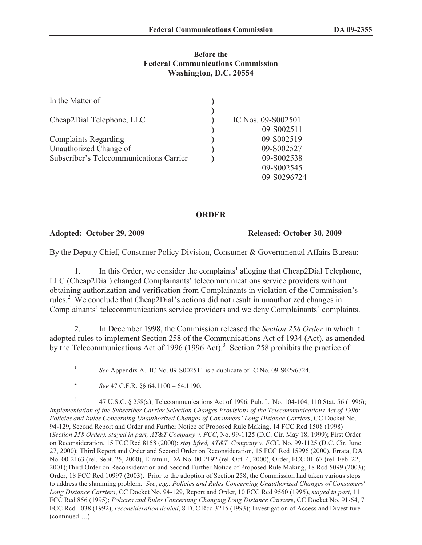### **Before the Federal Communications Commission Washington, D.C. 20554**

| In the Matter of                        |                    |
|-----------------------------------------|--------------------|
| Cheap2Dial Telephone, LLC               | IC Nos. 09-S002501 |
|                                         | 09-S002511         |
| <b>Complaints Regarding</b>             | 09-S002519         |
| Unauthorized Change of                  | 09-S002527         |
| Subscriber's Telecommunications Carrier | 09-S002538         |
|                                         | 09-S002545         |
|                                         | 09-S0296724        |

# **ORDER**

1

**Adopted: October 29, 2009 Released: October 30, 2009**

By the Deputy Chief, Consumer Policy Division, Consumer & Governmental Affairs Bureau:

1. In this Order, we consider the complaints<sup>1</sup> alleging that Cheap2Dial Telephone, LLC (Cheap2Dial) changed Complainants' telecommunications service providers without obtaining authorization and verification from Complainants in violation of the Commission's rules.<sup>2</sup> We conclude that Cheap2Dial's actions did not result in unauthorized changes in Complainants' telecommunications service providers and we deny Complainants' complaints.

2. In December 1998, the Commission released the *Section 258 Order* in which it adopted rules to implement Section 258 of the Communications Act of 1934 (Act), as amended by the Telecommunications Act of 1996 (1996 Act).<sup>3</sup> Section 258 prohibits the practice of

3 47 U.S.C. § 258(a); Telecommunications Act of 1996, Pub. L. No. 104-104, 110 Stat. 56 (1996); *Implementation of the Subscriber Carrier Selection Changes Provisions of the Telecommunications Act of 1996; Policies and Rules Concerning Unauthorized Changes of Consumers' Long Distance Carriers*, CC Docket No. 94-129, Second Report and Order and Further Notice of Proposed Rule Making, 14 FCC Rcd 1508 (1998) (*Section 258 Order), stayed in part, AT&T Company v. FCC*, No. 99-1125 (D.C. Cir. May 18, 1999); First Order on Reconsideration, 15 FCC Rcd 8158 (2000); *stay lifted, AT&T Company v. FCC*, No. 99-1125 (D.C. Cir. June 27, 2000); Third Report and Order and Second Order on Reconsideration, 15 FCC Rcd 15996 (2000), Errata, DA No. 00-2163 (rel. Sept. 25, 2000), Erratum, DA No. 00-2192 (rel. Oct. 4, 2000), Order, FCC 01-67 (rel. Feb. 22, 2001);Third Order on Reconsideration and Second Further Notice of Proposed Rule Making, 18 Rcd 5099 (2003); Order, 18 FCC Rcd 10997 (2003). Prior to the adoption of Section 258, the Commission had taken various steps to address the slamming problem. *See*, *e.g.*, *Policies and Rules Concerning Unauthorized Changes of Consumers' Long Distance Carriers*, CC Docket No. 94-129, Report and Order, 10 FCC Rcd 9560 (1995), *stayed in part*, 11 FCC Rcd 856 (1995); *Policies and Rules Concerning Changing Long Distance Carrier*s, CC Docket No. 91-64, 7 FCC Rcd 1038 (1992), *reconsideration denied*, 8 FCC Rcd 3215 (1993); Investigation of Access and Divestiture (continued….)

*See* Appendix A. IC No. 09-S002511 is a duplicate of IC No. 09-S0296724.

<sup>2</sup> *See* 47 C.F.R. §§ 64.1100 – 64.1190.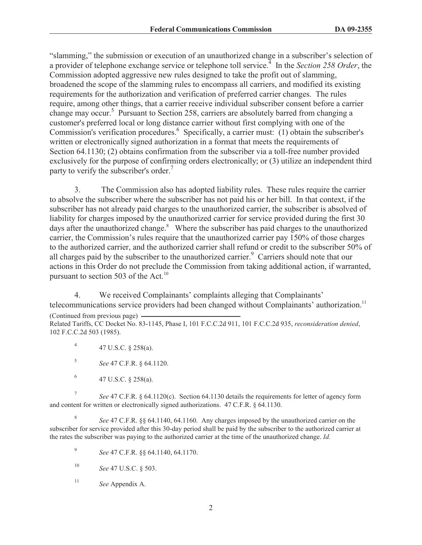"slamming," the submission or execution of an unauthorized change in a subscriber's selection of a provider of telephone exchange service or telephone toll service.<sup>4</sup> In the *Section 258 Order*, the Commission adopted aggressive new rules designed to take the profit out of slamming, broadened the scope of the slamming rules to encompass all carriers, and modified its existing requirements for the authorization and verification of preferred carrier changes. The rules require, among other things, that a carrier receive individual subscriber consent before a carrier change may occur.<sup>5</sup> Pursuant to Section 258, carriers are absolutely barred from changing a customer's preferred local or long distance carrier without first complying with one of the Commission's verification procedures.<sup>6</sup> Specifically, a carrier must: (1) obtain the subscriber's written or electronically signed authorization in a format that meets the requirements of Section 64.1130; (2) obtains confirmation from the subscriber via a toll-free number provided exclusively for the purpose of confirming orders electronically; or (3) utilize an independent third party to verify the subscriber's order.<sup>7</sup>

3. The Commission also has adopted liability rules. These rules require the carrier to absolve the subscriber where the subscriber has not paid his or her bill. In that context, if the subscriber has not already paid charges to the unauthorized carrier, the subscriber is absolved of liability for charges imposed by the unauthorized carrier for service provided during the first 30 days after the unauthorized change.<sup>8</sup> Where the subscriber has paid charges to the unauthorized carrier, the Commission's rules require that the unauthorized carrier pay 150% of those charges to the authorized carrier, and the authorized carrier shall refund or credit to the subscriber 50% of all charges paid by the subscriber to the unauthorized carrier.<sup>9</sup> Carriers should note that our actions in this Order do not preclude the Commission from taking additional action, if warranted, pursuant to section 503 of the Act.<sup>10</sup>

4. We received Complainants' complaints alleging that Complainants' telecommunications service providers had been changed without Complainants' authorization.<sup>11</sup> (Continued from previous page) Related Tariffs, CC Docket No. 83-1145, Phase I, 101 F.C.C.2d 911, 101 F.C.C.2d 935, *reconsideration denied*,

102 F.C.C.2d 503 (1985).

4 47 U.S.C. § 258(a).

5 *See* 47 C.F.R. § 64.1120.

6 47 U.S.C. § 258(a).

7 *See* 47 C.F.R. § 64.1120(c). Section 64.1130 details the requirements for letter of agency form and content for written or electronically signed authorizations. 47 C.F.R. § 64.1130.

8 *See* 47 C.F.R. §§ 64.1140, 64.1160. Any charges imposed by the unauthorized carrier on the subscriber for service provided after this 30-day period shall be paid by the subscriber to the authorized carrier at the rates the subscriber was paying to the authorized carrier at the time of the unauthorized change. *Id.*

- 9 *See* 47 C.F.R. §§ 64.1140, 64.1170.
- <sup>10</sup> *See* 47 U.S.C. § 503.
- <sup>11</sup> *See* Appendix A.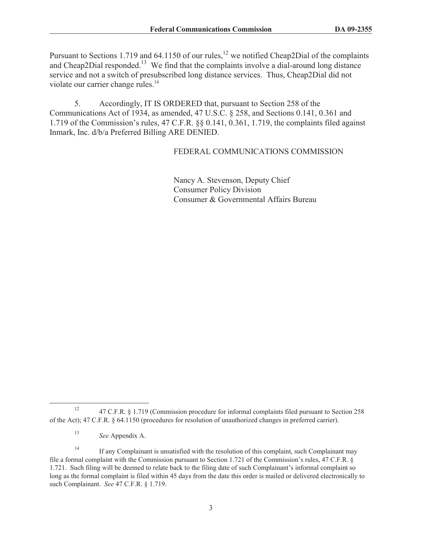Pursuant to Sections 1.719 and 64.1150 of our rules,<sup>12</sup> we notified Cheap2Dial of the complaints and Cheap2Dial responded.<sup>13</sup> We find that the complaints involve a dial-around long distance service and not a switch of presubscribed long distance services. Thus, Cheap2Dial did not violate our carrier change rules.<sup>14</sup>

5. Accordingly, IT IS ORDERED that, pursuant to Section 258 of the Communications Act of 1934, as amended, 47 U.S.C. § 258, and Sections 0.141, 0.361 and 1.719 of the Commission's rules, 47 C.F.R. §§ 0.141, 0.361, 1.719, the complaints filed against Inmark, Inc. d/b/a Preferred Billing ARE DENIED.

## FEDERAL COMMUNICATIONS COMMISSION

Nancy A. Stevenson, Deputy Chief Consumer Policy Division Consumer & Governmental Affairs Bureau

<sup>&</sup>lt;sup>12</sup> 47 C.F.R. § 1.719 (Commission procedure for informal complaints filed pursuant to Section 258 of the Act); 47 C.F.R. § 64.1150 (procedures for resolution of unauthorized changes in preferred carrier).

<sup>13</sup> *See* Appendix A.

<sup>&</sup>lt;sup>14</sup> If any Complainant is unsatisfied with the resolution of this complaint, such Complainant may file a formal complaint with the Commission pursuant to Section 1.721 of the Commission's rules, 47 C.F.R. § 1.721. Such filing will be deemed to relate back to the filing date of such Complainant's informal complaint so long as the formal complaint is filed within 45 days from the date this order is mailed or delivered electronically to such Complainant. *See* 47 C.F.R. § 1.719.